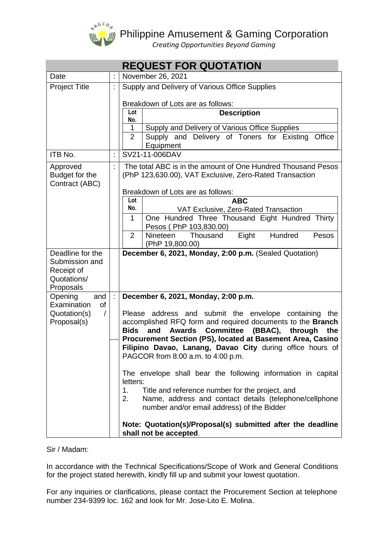

# $\frac{1}{2}$  Philippine Amusement & Gaming Corporation

 *Creating Opportunities Beyond Gaming*

|                                                                 |    | <b>REQUEST FOR QUOTATION</b>                                                                                            |  |  |  |  |
|-----------------------------------------------------------------|----|-------------------------------------------------------------------------------------------------------------------------|--|--|--|--|
| Date                                                            |    | November 26, 2021                                                                                                       |  |  |  |  |
| <b>Project Title</b>                                            | t  | Supply and Delivery of Various Office Supplies                                                                          |  |  |  |  |
|                                                                 |    | Breakdown of Lots are as follows:                                                                                       |  |  |  |  |
|                                                                 |    | Lot<br><b>Description</b><br>No.                                                                                        |  |  |  |  |
|                                                                 |    | Supply and Delivery of Various Office Supplies<br>1                                                                     |  |  |  |  |
|                                                                 |    | $\overline{2}$<br>Supply and Delivery of Toners for Existing<br>Office<br>Equipment                                     |  |  |  |  |
| ITB No.                                                         | Ì. | SV21-11-006DAV                                                                                                          |  |  |  |  |
| Approved                                                        | t. | The total ABC is in the amount of One Hundred Thousand Pesos                                                            |  |  |  |  |
| Budget for the<br>Contract (ABC)                                |    | (PhP 123,630.00), VAT Exclusive, Zero-Rated Transaction                                                                 |  |  |  |  |
|                                                                 |    | Breakdown of Lots are as follows:                                                                                       |  |  |  |  |
|                                                                 |    | Lot<br><b>ABC</b><br>No.                                                                                                |  |  |  |  |
|                                                                 |    | VAT Exclusive, Zero-Rated Transaction<br>One Hundred Three Thousand Eight Hundred Thirty<br>1                           |  |  |  |  |
|                                                                 |    | Pesos (PhP 103,830.00)                                                                                                  |  |  |  |  |
|                                                                 |    | $\overline{2}$<br>Hundred<br><b>Nineteen</b><br>Thousand<br>Eight<br>Pesos                                              |  |  |  |  |
|                                                                 |    | (PhP 19,800.00)                                                                                                         |  |  |  |  |
| Deadline for the<br>Submission and                              |    | December 6, 2021, Monday, 2:00 p.m. (Sealed Quotation)                                                                  |  |  |  |  |
| Receipt of                                                      |    |                                                                                                                         |  |  |  |  |
| Quotations/                                                     |    |                                                                                                                         |  |  |  |  |
| Proposals                                                       | t  |                                                                                                                         |  |  |  |  |
| Opening<br>and<br>Examination<br>of<br>Quotation(s)<br>$\prime$ |    | December 6, 2021, Monday, 2:00 p.m.                                                                                     |  |  |  |  |
|                                                                 |    | Please address and submit the envelope containing<br>the                                                                |  |  |  |  |
| Proposal(s)                                                     |    | accomplished RFQ form and required documents to the Branch                                                              |  |  |  |  |
|                                                                 |    | <b>Committee</b><br>and<br><b>Awards</b><br>(BBAC),<br><b>Bids</b><br>through<br>the                                    |  |  |  |  |
|                                                                 |    | Procurement Section (PS), located at Basement Area, Casino<br>Filipino Davao, Lanang, Davao City during office hours of |  |  |  |  |
|                                                                 |    | PAGCOR from 8:00 a.m. to 4:00 p.m.                                                                                      |  |  |  |  |
|                                                                 |    |                                                                                                                         |  |  |  |  |
|                                                                 |    | The envelope shall bear the following information in capital                                                            |  |  |  |  |
|                                                                 |    | letters:<br>1.<br>Title and reference number for the project, and                                                       |  |  |  |  |
|                                                                 |    | Name, address and contact details (telephone/cellphone<br>2.<br>number and/or email address) of the Bidder              |  |  |  |  |
|                                                                 |    | Note: Quotation(s)/Proposal(s) submitted after the deadline<br>shall not be accepted.                                   |  |  |  |  |

### Sir / Madam:

In accordance with the Technical Specifications/Scope of Work and General Conditions for the project stated herewith, kindly fill up and submit your lowest quotation.

For any inquiries or clarifications, please contact the Procurement Section at telephone number 234-9399 loc. 162 and look for Mr. Jose-Lito E. Molina.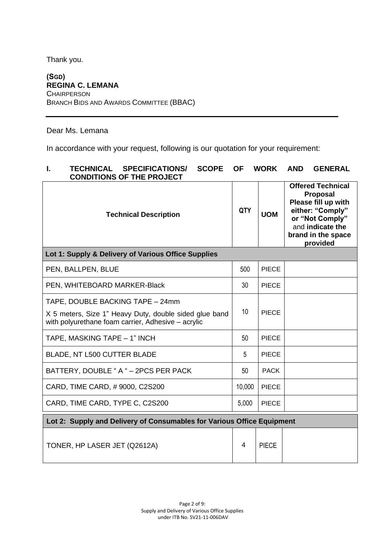Thank you.

# **(SGD) REGINA C. LEMANA CHAIRPERSON** BRANCH BIDS AND AWARDS COMMITTEE (BBAC)

Dear Ms. Lemana

In accordance with your request, following is our quotation for your requirement:

# **I. TECHNICAL SPECIFICATIONS/ SCOPE OF WORK AND GENERAL CONDITIONS OF THE PROJECT**

| <b>Technical Description</b>                                                                                                                     | <b>QTY</b> | <b>UOM</b>   | <b>Offered Technical</b><br><b>Proposal</b><br>Please fill up with<br>either: "Comply"<br>or "Not Comply"<br>and indicate the<br>brand in the space<br>provided |  |
|--------------------------------------------------------------------------------------------------------------------------------------------------|------------|--------------|-----------------------------------------------------------------------------------------------------------------------------------------------------------------|--|
| Lot 1: Supply & Delivery of Various Office Supplies                                                                                              |            |              |                                                                                                                                                                 |  |
| PEN, BALLPEN, BLUE                                                                                                                               | 500        | <b>PIECE</b> |                                                                                                                                                                 |  |
| PEN, WHITEBOARD MARKER-Black                                                                                                                     | 30         | <b>PIECE</b> |                                                                                                                                                                 |  |
| TAPE, DOUBLE BACKING TAPE - 24mm<br>X 5 meters, Size 1" Heavy Duty, double sided glue band<br>with polyurethane foam carrier, Adhesive - acrylic | 10         | <b>PIECE</b> |                                                                                                                                                                 |  |
| TAPE, MASKING TAPE - 1" INCH                                                                                                                     | 50         | <b>PIECE</b> |                                                                                                                                                                 |  |
| BLADE, NT L500 CUTTER BLADE                                                                                                                      | 5          | <b>PIECE</b> |                                                                                                                                                                 |  |
| BATTERY, DOUBLE "A " - 2PCS PER PACK                                                                                                             | 50         | <b>PACK</b>  |                                                                                                                                                                 |  |
| CARD, TIME CARD, #9000, C2S200                                                                                                                   | 10,000     | <b>PIECE</b> |                                                                                                                                                                 |  |
| CARD, TIME CARD, TYPE C, C2S200                                                                                                                  | 5,000      | <b>PIECE</b> |                                                                                                                                                                 |  |
| Lot 2: Supply and Delivery of Consumables for Various Office Equipment                                                                           |            |              |                                                                                                                                                                 |  |
| TONER, HP LASER JET (Q2612A)                                                                                                                     | 4          | <b>PIECE</b> |                                                                                                                                                                 |  |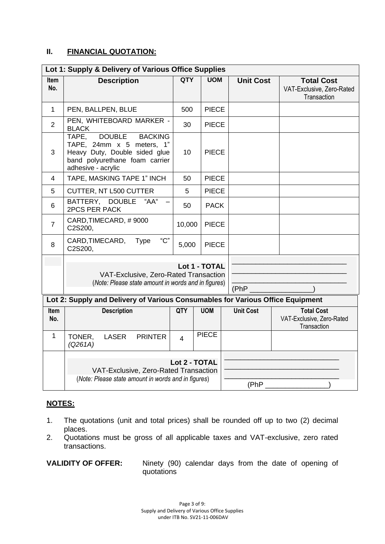# **II. FINANCIAL QUOTATION:**

| Lot 1: Supply & Delivery of Various Office Supplies                                                                   |                                                                                                                                                                |                |              |  |                  |                                                               |
|-----------------------------------------------------------------------------------------------------------------------|----------------------------------------------------------------------------------------------------------------------------------------------------------------|----------------|--------------|--|------------------|---------------------------------------------------------------|
| Item<br>No.                                                                                                           | <b>Description</b>                                                                                                                                             | <b>QTY</b>     | <b>UOM</b>   |  | <b>Unit Cost</b> | <b>Total Cost</b><br>VAT-Exclusive, Zero-Rated<br>Transaction |
| 1                                                                                                                     | PEN, BALLPEN, BLUE                                                                                                                                             | 500            | <b>PIECE</b> |  |                  |                                                               |
| $\overline{2}$                                                                                                        | PEN, WHITEBOARD MARKER -<br><b>BLACK</b>                                                                                                                       | 30             | <b>PIECE</b> |  |                  |                                                               |
| 3                                                                                                                     | <b>DOUBLE</b><br>TAPE,<br><b>BACKING</b><br>TAPE, 24mm x 5 meters, 1"<br>Heavy Duty, Double sided glue<br>band polyurethane foam carrier<br>adhesive - acrylic |                | <b>PIECE</b> |  |                  |                                                               |
| 4                                                                                                                     | TAPE, MASKING TAPE 1" INCH                                                                                                                                     |                | <b>PIECE</b> |  |                  |                                                               |
| 5                                                                                                                     | CUTTER, NT L500 CUTTER                                                                                                                                         |                | <b>PIECE</b> |  |                  |                                                               |
| 6                                                                                                                     | BATTERY, DOUBLE<br>"AA"<br><b>2PCS PER PACK</b>                                                                                                                | 50             | <b>PACK</b>  |  |                  |                                                               |
| $\overline{7}$                                                                                                        | CARD, TIMECARD, #9000<br>C2S200,                                                                                                                               | 10,000         | <b>PIECE</b> |  |                  |                                                               |
| 8                                                                                                                     | "C"<br>CARD, TIMECARD,<br><b>Type</b><br>C2S200,                                                                                                               | 5,000          | <b>PIECE</b> |  |                  |                                                               |
| Lot 1 - TOTAL<br>VAT-Exclusive, Zero-Rated Transaction<br>(Note: Please state amount in words and in figures)<br>(PhP |                                                                                                                                                                |                |              |  |                  |                                                               |
| Lot 2: Supply and Delivery of Various Consumables for Various Office Equipment                                        |                                                                                                                                                                |                |              |  |                  |                                                               |
| Item<br>No.                                                                                                           | <b>Description</b>                                                                                                                                             |                | <b>UOM</b>   |  | <b>Unit Cost</b> | <b>Total Cost</b><br>VAT-Exclusive, Zero-Rated<br>Transaction |
| $\mathbf{1}$                                                                                                          | TONER,<br><b>LASER</b><br><b>PRINTER</b><br>(Q261A)                                                                                                            | $\overline{4}$ | <b>PIECE</b> |  |                  |                                                               |
|                                                                                                                       | Lot 2 - TOTAL<br>VAT-Exclusive, Zero-Rated Transaction<br>(Note: Please state amount in words and in figures)                                                  |                |              |  | (PhP)            |                                                               |

# **NOTES:**

- 1. The quotations (unit and total prices) shall be rounded off up to two (2) decimal places.
- 2. Quotations must be gross of all applicable taxes and VAT-exclusive, zero rated transactions.

**VALIDITY OF OFFER:** Ninety (90) calendar days from the date of opening of quotations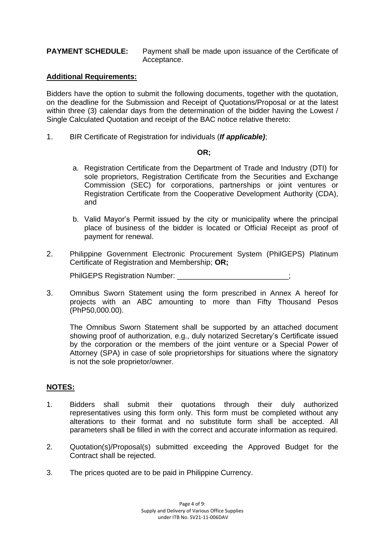### **PAYMENT SCHEDULE:** Payment shall be made upon issuance of the Certificate of Acceptance.

#### **Additional Requirements:**

Bidders have the option to submit the following documents, together with the quotation, on the deadline for the Submission and Receipt of Quotations/Proposal or at the latest within three (3) calendar days from the determination of the bidder having the Lowest / Single Calculated Quotation and receipt of the BAC notice relative thereto:

1. BIR Certificate of Registration for individuals (*If applicable)*;

#### **OR;**

- a. Registration Certificate from the Department of Trade and Industry (DTI) for sole proprietors, Registration Certificate from the Securities and Exchange Commission (SEC) for corporations, partnerships or joint ventures or Registration Certificate from the Cooperative Development Authority (CDA), and
- b. Valid Mayor's Permit issued by the city or municipality where the principal place of business of the bidder is located or Official Receipt as proof of payment for renewal.
- 2. Philippine Government Electronic Procurement System (PhilGEPS) Platinum Certificate of Registration and Membership; **OR;**

PhilGEPS Registration Number:

3. Omnibus Sworn Statement using the form prescribed in Annex A hereof for projects with an ABC amounting to more than Fifty Thousand Pesos (PhP50,000.00).

The Omnibus Sworn Statement shall be supported by an attached document showing proof of authorization, e.g., duly notarized Secretary's Certificate issued by the corporation or the members of the joint venture or a Special Power of Attorney (SPA) in case of sole proprietorships for situations where the signatory is not the sole proprietor/owner.

### **NOTES:**

- 1. Bidders shall submit their quotations through their duly authorized representatives using this form only. This form must be completed without any alterations to their format and no substitute form shall be accepted. All parameters shall be filled in with the correct and accurate information as required.
- 2. Quotation(s)/Proposal(s) submitted exceeding the Approved Budget for the Contract shall be rejected.
- 3. The prices quoted are to be paid in Philippine Currency.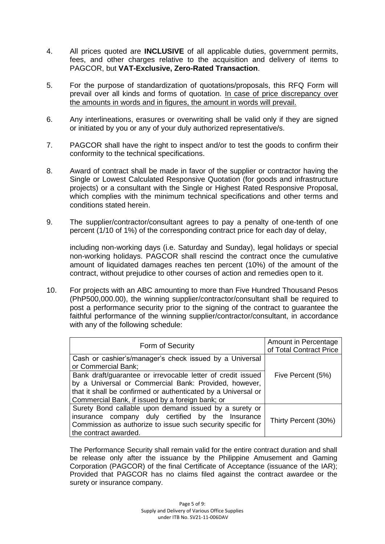- 4. All prices quoted are **INCLUSIVE** of all applicable duties, government permits, fees, and other charges relative to the acquisition and delivery of items to PAGCOR, but **VAT-Exclusive, Zero-Rated Transaction**.
- 5. For the purpose of standardization of quotations/proposals, this RFQ Form will prevail over all kinds and forms of quotation. In case of price discrepancy over the amounts in words and in figures, the amount in words will prevail.
- 6. Any interlineations, erasures or overwriting shall be valid only if they are signed or initiated by you or any of your duly authorized representative/s.
- 7. PAGCOR shall have the right to inspect and/or to test the goods to confirm their conformity to the technical specifications.
- 8. Award of contract shall be made in favor of the supplier or contractor having the Single or Lowest Calculated Responsive Quotation (for goods and infrastructure projects) or a consultant with the Single or Highest Rated Responsive Proposal, which complies with the minimum technical specifications and other terms and conditions stated herein.
- 9. The supplier/contractor/consultant agrees to pay a penalty of one-tenth of one percent (1/10 of 1%) of the corresponding contract price for each day of delay,

including non-working days (i.e. Saturday and Sunday), legal holidays or special non-working holidays. PAGCOR shall rescind the contract once the cumulative amount of liquidated damages reaches ten percent (10%) of the amount of the contract, without prejudice to other courses of action and remedies open to it.

10. For projects with an ABC amounting to more than Five Hundred Thousand Pesos (PhP500,000.00), the winning supplier/contractor/consultant shall be required to post a performance security prior to the signing of the contract to guarantee the faithful performance of the winning supplier/contractor/consultant, in accordance with any of the following schedule:

| Form of Security                                                                                                                                                                                                                          | Amount in Percentage<br>of Total Contract Price |
|-------------------------------------------------------------------------------------------------------------------------------------------------------------------------------------------------------------------------------------------|-------------------------------------------------|
| Cash or cashier's/manager's check issued by a Universal<br>or Commercial Bank;                                                                                                                                                            |                                                 |
| Bank draft/guarantee or irrevocable letter of credit issued<br>by a Universal or Commercial Bank: Provided, however,<br>that it shall be confirmed or authenticated by a Universal or<br>Commercial Bank, if issued by a foreign bank; or | Five Percent (5%)                               |
| Surety Bond callable upon demand issued by a surety or<br>insurance company duly certified by the Insurance<br>Commission as authorize to issue such security specific for<br>the contract awarded.                                       | Thirty Percent (30%)                            |

The Performance Security shall remain valid for the entire contract duration and shall be release only after the issuance by the Philippine Amusement and Gaming Corporation (PAGCOR) of the final Certificate of Acceptance (issuance of the IAR); Provided that PAGCOR has no claims filed against the contract awardee or the surety or insurance company.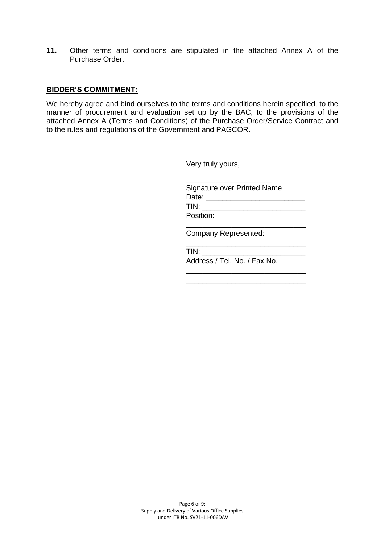**11.** Other terms and conditions are stipulated in the attached Annex A of the Purchase Order.

#### **BIDDER'S COMMITMENT:**

We hereby agree and bind ourselves to the terms and conditions herein specified, to the manner of procurement and evaluation set up by the BAC, to the provisions of the attached Annex A (Terms and Conditions) of the Purchase Order/Service Contract and to the rules and regulations of the Government and PAGCOR.

Very truly yours,

| <b>Signature over Printed Name</b>                                                                                                                                                                                             |  |
|--------------------------------------------------------------------------------------------------------------------------------------------------------------------------------------------------------------------------------|--|
| Date: the contract of the contract of the contract of the contract of the contract of the contract of the contract of the contract of the contract of the contract of the contract of the contract of the contract of the cont |  |
| TIN:                                                                                                                                                                                                                           |  |
| Position:                                                                                                                                                                                                                      |  |
|                                                                                                                                                                                                                                |  |

\_\_\_\_\_\_\_\_\_\_\_\_\_\_\_\_\_\_\_\_\_\_\_\_\_\_\_\_\_

\_\_\_\_\_\_\_\_\_\_\_\_\_\_\_\_\_\_\_\_\_\_\_\_\_\_\_\_\_ \_\_\_\_\_\_\_\_\_\_\_\_\_\_\_\_\_\_\_\_\_\_\_\_\_\_\_\_\_

Company Represented:

\_\_\_\_\_\_\_\_\_\_\_\_\_\_\_\_\_\_\_\_\_\_\_\_\_\_\_\_

TIN: \_\_\_\_\_\_\_\_\_\_\_\_\_\_\_\_\_\_\_\_\_\_\_\_\_ Address / Tel. No. / Fax No.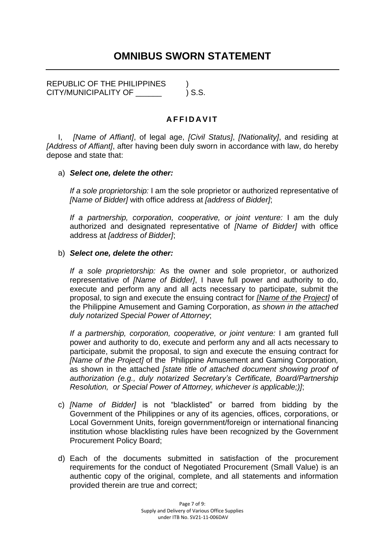# **OMNIBUS SWORN STATEMENT**

REPUBLIC OF THE PHILIPPINES ) CITY/MUNICIPALITY OF  $\qquad \qquad$  ) S.S.

# **A F F I D A V I T**

I, *[Name of Affiant]*, of legal age, *[Civil Status]*, *[Nationality]*, and residing at *[Address of Affiant]*, after having been duly sworn in accordance with law, do hereby depose and state that:

# a) *Select one, delete the other:*

*If a sole proprietorship:* I am the sole proprietor or authorized representative of *[Name of Bidder]* with office address at *[address of Bidder]*;

*If a partnership, corporation, cooperative, or joint venture:* I am the duly authorized and designated representative of *[Name of Bidder]* with office address at *[address of Bidder]*;

# b) *Select one, delete the other:*

*If a sole proprietorship:* As the owner and sole proprietor, or authorized representative of *[Name of Bidder]*, I have full power and authority to do, execute and perform any and all acts necessary to participate, submit the proposal, to sign and execute the ensuing contract for *[Name of the Project]* of the Philippine Amusement and Gaming Corporation, *as shown in the attached duly notarized Special Power of Attorney*;

*If a partnership, corporation, cooperative, or joint venture:* I am granted full power and authority to do, execute and perform any and all acts necessary to participate, submit the proposal, to sign and execute the ensuing contract for *[Name of the Project]* of the Philippine Amusement and Gaming Corporation*,*  as shown in the attached *[state title of attached document showing proof of authorization (e.g., duly notarized Secretary's Certificate, Board/Partnership Resolution, or Special Power of Attorney, whichever is applicable;)]*;

- c) *[Name of Bidder]* is not "blacklisted" or barred from bidding by the Government of the Philippines or any of its agencies, offices, corporations, or Local Government Units, foreign government/foreign or international financing institution whose blacklisting rules have been recognized by the Government Procurement Policy Board;
- d) Each of the documents submitted in satisfaction of the procurement requirements for the conduct of Negotiated Procurement (Small Value) is an authentic copy of the original, complete, and all statements and information provided therein are true and correct;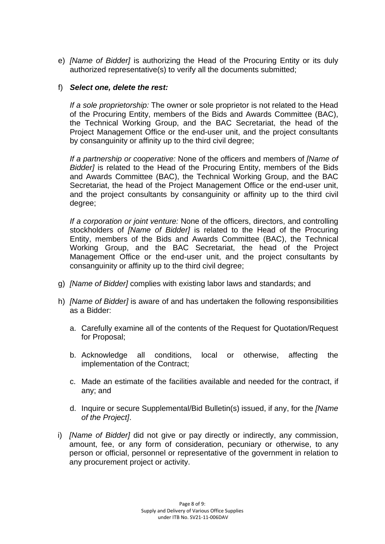e) *[Name of Bidder]* is authorizing the Head of the Procuring Entity or its duly authorized representative(s) to verify all the documents submitted;

# f) *Select one, delete the rest:*

*If a sole proprietorship:* The owner or sole proprietor is not related to the Head of the Procuring Entity, members of the Bids and Awards Committee (BAC), the Technical Working Group, and the BAC Secretariat, the head of the Project Management Office or the end-user unit, and the project consultants by consanguinity or affinity up to the third civil degree;

*If a partnership or cooperative:* None of the officers and members of *[Name of Bidder]* is related to the Head of the Procuring Entity, members of the Bids and Awards Committee (BAC), the Technical Working Group, and the BAC Secretariat, the head of the Project Management Office or the end-user unit, and the project consultants by consanguinity or affinity up to the third civil degree;

*If a corporation or joint venture:* None of the officers, directors, and controlling stockholders of *[Name of Bidder]* is related to the Head of the Procuring Entity, members of the Bids and Awards Committee (BAC), the Technical Working Group, and the BAC Secretariat, the head of the Project Management Office or the end-user unit, and the project consultants by consanguinity or affinity up to the third civil degree;

- g) *[Name of Bidder]* complies with existing labor laws and standards; and
- h) *[Name of Bidder]* is aware of and has undertaken the following responsibilities as a Bidder:
	- a. Carefully examine all of the contents of the Request for Quotation/Request for Proposal;
	- b. Acknowledge all conditions, local or otherwise, affecting the implementation of the Contract;
	- c. Made an estimate of the facilities available and needed for the contract, if any; and
	- d. Inquire or secure Supplemental/Bid Bulletin(s) issued, if any, for the *[Name of the Project]*.
- i) *[Name of Bidder]* did not give or pay directly or indirectly, any commission, amount, fee, or any form of consideration, pecuniary or otherwise, to any person or official, personnel or representative of the government in relation to any procurement project or activity.